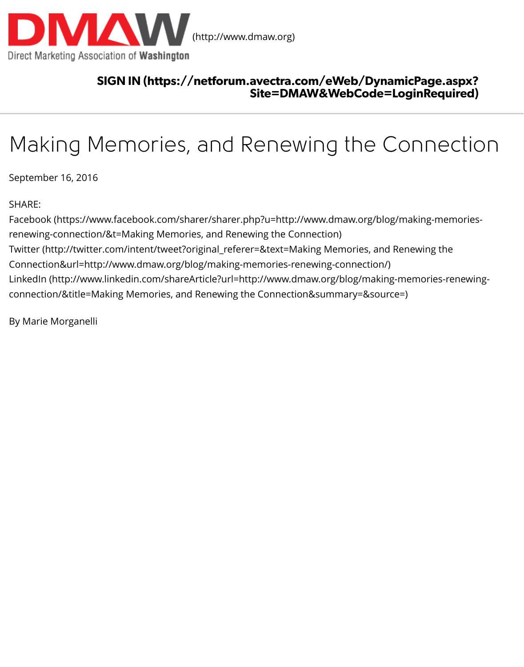# [Making Memories, and Renew](http://www.dmaw.org/)ing the Corn

September 16, 2016

#### SHARE:

Facebook (https://www.facebook.com/sharer/sharer.php?u=http://www.dmaw.org/blog/mak renewing-connection/&t=Making Memories, and Renewing the Connection) Twitter (http://twitter.com/intent/tweet?original\_referer=&text=Making Memories, and Renew Connection&url=http://www.dmaw.org/blog/making-memories-renewing-connection/) LinkedIn (http://www.linkedin.com/shareArticle?url=http://www.dmaw.org/blog/making-men connection/&title=Making Memories, and Renewing the Connection&summary=&source=)

By Marie Morganelli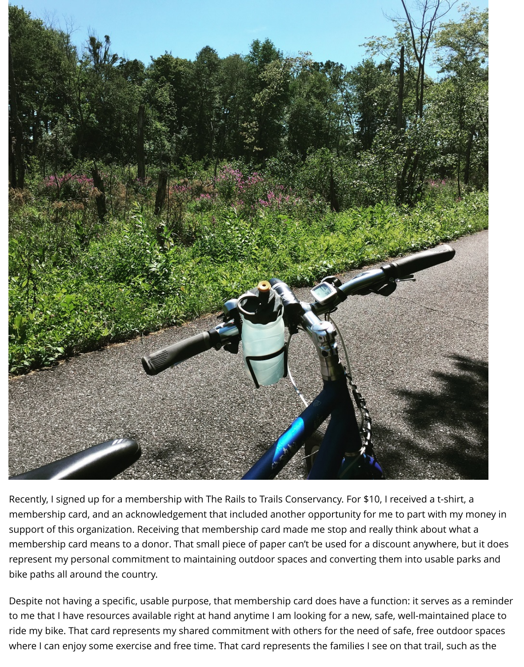

Recently, I signed up for a membership with The Rails to Trails Conservancy. For \$10, I received a t-shirt, a membership card, and an acknowledgement that included another opportunity for me to part with my money in support of this organization. Receiving that membership card made me stop and really think about what a membership card means to a donor. That small piece of paper can't be used for a discount anywhere, but it does represent my personal commitment to maintaining outdoor spaces and converting them into usable parks and bike paths all around the country.

Despite not having a specific, usable purpose, that membership card does have a function: it serves as a reminder to me that I have resources available right at hand anytime I am looking for a new, safe, well-maintained place to ride my bike. That card represents my shared commitment with others for the need of safe, free outdoor spaces where I can enjoy some exercise and free time. That card represents the families I see on that trail, such as the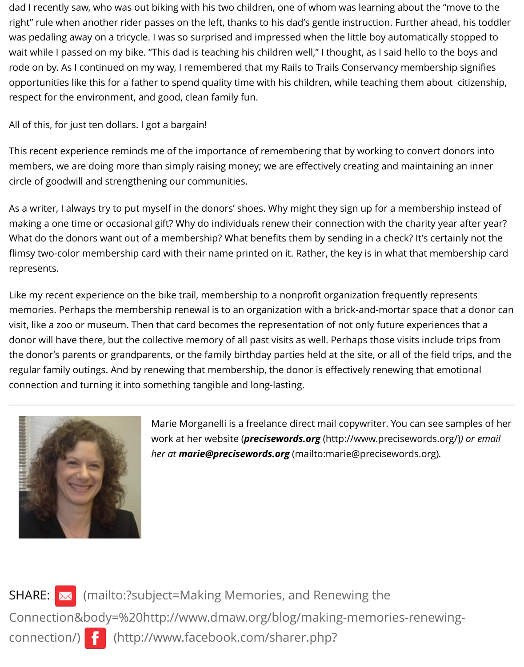$\alpha$  and the formulation domain of  $\alpha$  bargain.

This recent experience reminds me of the importance of remembering that by working to co members, we are doing more than simply raising money; we are effectively creating and mai circle of goodwill and strengthening our communities.

As a writer, I always try to put myself in the donors' shoes. Why might they sign up for a men making a one time or occasional gift? Why do individuals renew their connection with the chara What do the donors want out of a membership? What benefits them by sending in a check? flimsy two-color membership card with their name printed on it. Rather, the key is in what that represents.

Like my recent experience on the bike trail, membership to a nonprofit organization frequen memories. Perhaps the membership renewal is to an organization with a brick-and-mortar s visit, like a zoo or museum. Then that card becomes the representation of not only future ex donor will have there, but the collective memory of all past visits as well. Perhaps those visits the donor's parents or grandparents, or the family birthday parties held at the site, or all of the regular family outings. And by renewing that membership, the donor is effectively renewing connection and turning it into something tangible and long-lasting.



Marie Morganelli is a freelance direct mail copywriter. You can work at her website (*precisewords.org* (http://www.precisew *her at marie@precisewords.org* (mailto:marie@precisewords)

SHARE: (mailto:?subject=Making Memories, and Renewing the Connection&body=%20http://www.dmaw.org/blog/making-memories-re connection/) <mark>{</mark> (http://www.facebook.com/sharer.php?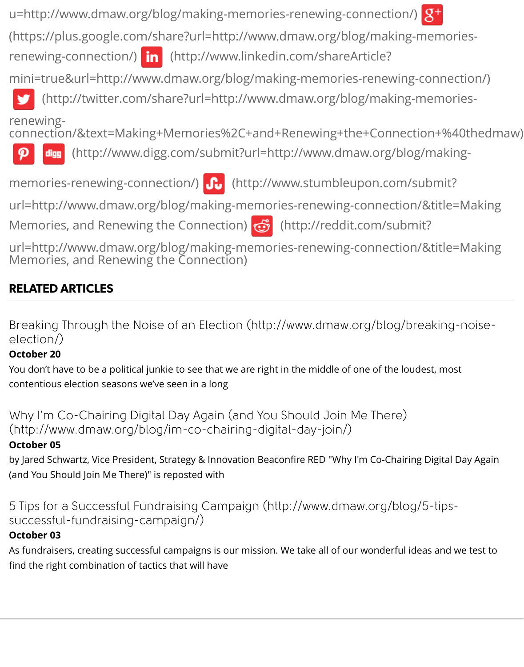renewing[connection/&text=Making+Memories%2C+and+Renewing+the+Connect](http://www.facebook.com/sharer.php?u=http://www.dmaw.org/blog/making-memories-renewing-connection/)

(http://www.digg.com/submit?url=http://www.dmaw.org/blog digg

memories-renewing-connection/) **fo** (http://www.stumbleupon.com/s

url=http://www.dmaw.org/blog/making-memories-renewing-connection

Memories, and Renewing the Connection)  $\bigcirc$  (http://reddit.com/subm

url=http://www.dmaw.org/blog/making-memories-renewing-connection Memories, and Renewing the Connection)

# [RELA](javascript:void((function()%7Bvar%20e=document.createElement()[TED ARTICLES](http://www.digg.com/submit?url=http://www.dmaw.org/blog/making-memories-renewing-connection/)

Breaking Through the Noise of an Election (http://www.dmaw.org/blog/br election/)

#### **October 20**

You don't have to be a political junkie to see that we are right in the middle of one of the loud contentious election seasons we've seen in a long

Why I'm Co-Chairing Digital Day Again (and You Should Join Me There) (http://www.dmaw.org/blog/im-co-chairing-digital-day-join/)

## **October 05**

[by Jared Schwartz, Vice President, Strategy & Innovation Beacon](http://www.dmaw.org/blog/breaking-noise-election/)fire RED "Why I'm Co-Chairin (and You Should Join Me There)" is reposted with

5 Tips for a Successful Fundraising Campaign (http://www.dmaw.org/blog successful-fundraising-campaign/)

## **October 03**

[As fundraisers, creating successful campaigns is our mission. We take all of our wonderful](http://www.dmaw.org/blog/im-co-chairing-digital-day-join/) id find the right combination of tactics that will have